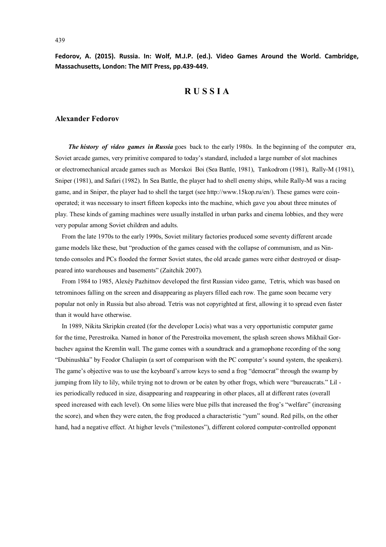**Fedorov, A. (2015). Russia. In: Wolf, M.J.P. (ed.). Video Games Around the World. Cambridge, Massachusetts, London: The MIT Press, pp.439-449.**

# **R U S S I A**

## **Alexander Fedorov**

*The history of video games in Russia* goes back to the early 1980s. In the beginning of the computer era, Soviet arcade games, very primitive compared to today's standard, included a large number of slot machines or electromechanical arcade games such as Morskoi Boi (Sea Battle, 1981), Tankodrom (1981), Rally-M (1981), Sniper (1981), and Safari (1982). In Sea Battle, the player had to shell enemy ships, while Rally-M was a racing game, and in Sniper, the player had to shell the target (see http://www.15kop.ru/en/). These games were coinoperated; it was necessary to insert fifteen kopecks into the machine, which gave you about three minutes of play. These kinds of gaming machines were usually installed in urban parks and cinema lobbies, and they were very popular among Soviet children and adults.

 From the late 1970s to the early 1990s, Soviet military factories produced some seventy different arcade game models like these, but "production of the games ceased with the collapse of communism, and as Nintendo consoles and PCs flooded the former Soviet states, the old arcade games were either destroyed or disappeared into warehouses and basements" (Zaitchik 2007).

 From 1984 to 1985, Alexéy Pazhitnov developed the first Russian video game, Tetris, which was based on tetrominoes falling on the screen and disappearing as players filled each row. The game soon became very popular not only in Russia but also abroad. Tetris was not copyrighted at first, allowing it to spread even faster than it would have otherwise.

 In 1989, Nikita Skripkin created (for the developer Locis) what was a very opportunistic computer game for the time, Perestroika. Named in honor of the Perestroika movement, the splash screen shows Mikhail Gorbachev against the Kremlin wall. The game comes with a soundtrack and a gramophone recording of the song "Dubinushka" by Feodor Chaliapin (a sort of comparison with the PC computer's sound system, the speakers). The game's objective was to use the keyboard's arrow keys to send a frog "democrat" through the swamp by jumping from lily to lily, while trying not to drown or be eaten by other frogs, which were "bureaucrats." Lil ies periodically reduced in size, disappearing and reappearing in other places, all at different rates (overall speed increased with each level). On some lilies were blue pills that increased the frog's "welfare" (increasing the score), and when they were eaten, the frog produced a characteristic "yum" sound. Red pills, on the other hand, had a negative effect. At higher levels ("milestones"), different colored computer-controlled opponent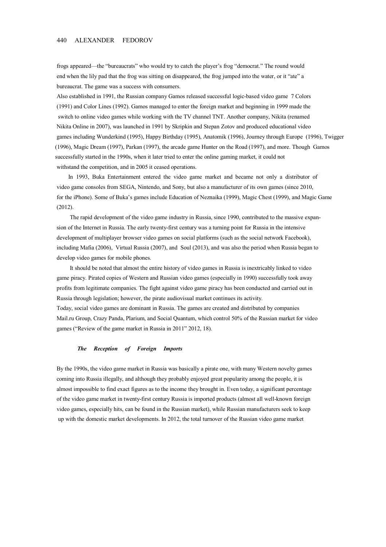## 440 ALEXANDER FEDOROV

frogs appeared—the "bureaucrats" who would try to catch the player's frog "democrat." The round would end when the lily pad that the frog was sitting on disappeared, the frog jumped into the water, or it "ate" a bureaucrat. The game was a success with consumers.

Also established in 1991, the Russian company Gamos released successful logic-based video game 7 Colors (1991) and Color Lines (1992). Gamos managed to enter the foreign market and beginning in 1999 made the switch to online video games while working with the TV channel TNT. Another company, Nikita (renamed Nikita Online in 2007), was launched in 1991 by Skripkin and Stepan Zotov and produced educational video games including Wunderkind (1995), Happy Birthday (1995), Anatomik (1996), Journey through Europe (1996), Twigger (1996), Magic Dream (1997), Parkan (1997), the arcade game Hunter on the Road (1997), and more. Though Gamos successfully started in the 1990s, when it later tried to enter the online gaming market, it could not withstand the competition, and in 2005 it ceased operations.

 In 1993, Buka Entertainment entered the video game market and became not only a distributor of video game consoles from SEGA, Nintendo, and Sony, but also a manufacturer of its own games (since 2010, for the iPhone). Some of Buka's games include Education of Neznaika (1999), Magic Chest (1999), and Magic Game (2012).

 The rapid development of the video game industry in Russia, since 1990, contributed to the massive expansion of the Internet in Russia. The early twenty-first century was a turning point for Russia in the intensive development of multiplayer browser video games on social platforms (such as the social network Facebook), including Mafia (2006), Virtual Russia (2007), and Soul (2013), and was also the period when Russia began to develop video games for mobile phones.

 It should be noted that almost the entire history of video games in Russia is inextricably linked to video game piracy. Pirated copies of Western and Russian video games (especially in 1990) successfully took away profits from legitimate companies. The fight against video game piracy has been conducted and carried out in Russia through legislation; however, the pirate audiovisual market continues its activity.

Today, social video games are dominant in Russia. The games are created and distributed by companies Mail.ru Group, Crazy Panda, Plarium, and Social Quantum, which control 50% of the Russian market for video games ("Review of the game market in Russia in 2011" 2012, 18).

#### *The Reception of Foreign Imports*

By the 1990s, the video game market in Russia was basically a pirate one, with many Western novelty games coming into Russia illegally, and although they probably enjoyed great popularity among the people, it is almost impossible to find exact figures as to the income they brought in. Even today, a significant percentage of the video game market in twenty-first century Russia is imported products (almost all well-known foreign video games, especially hits, can be found in the Russian market), while Russian manufacturers seek to keep up with the domestic market developments. In 2012, the total turnover of the Russian video game market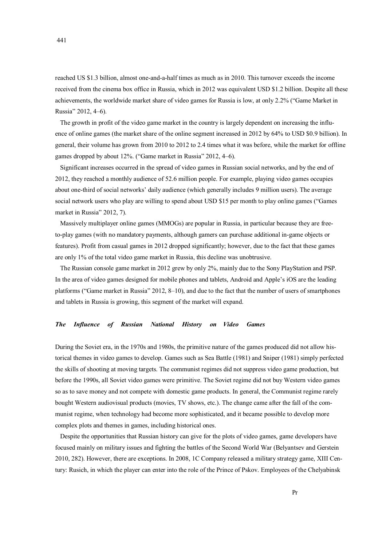reached US \$1.3 billion, almost one-and-a-half times as much as in 2010. This turnover exceeds the income received from the cinema box office in Russia, which in 2012 was equivalent USD \$1.2 billion. Despite all these achievements, the worldwide market share of video games for Russia is low, at only 2.2% ("Game Market in Russia" 2012, 4–6).

 The growth in profit of the video game market in the country is largely dependent on increasing the influence of online games (the market share of the online segment increased in 2012 by 64% to USD \$0.9 billion). In general, their volume has grown from 2010 to 2012 to 2.4 times what it was before, while the market for offline games dropped by about 12%. ("Game market in Russia" 2012, 4–6).

 Significant increases occurred in the spread of video games in Russian social networks, and by the end of 2012, they reached a monthly audience of 52.6 million people. For example, playing video games occupies about one-third of social networks' daily audience (which generally includes 9 million users). The average social network users who play are willing to spend about USD \$15 per month to play online games ("Games market in Russia" 2012, 7).

 Massively multiplayer online games (MMOGs) are popular in Russia, in particular because they are freeto-play games (with no mandatory payments, although gamers can purchase additional in-game objects or features). Profit from casual games in 2012 dropped significantly; however, due to the fact that these games are only 1% of the total video game market in Russia, this decline was unobtrusive.

 The Russian console game market in 2012 grew by only 2%, mainly due to the Sony PlayStation and PSP. In the area of video games designed for mobile phones and tablets, Android and Apple's iOS are the leading platforms ("Game market in Russia" 2012, 8–10), and due to the fact that the number of users of smartphones and tablets in Russia is growing, this segment of the market will expand.

## *The Influence of Russian National History on Video Games*

During the Soviet era, in the 1970s and 1980s, the primitive nature of the games produced did not allow historical themes in video games to develop. Games such as Sea Battle (1981) and Sniper (1981) simply perfected the skills of shooting at moving targets. The communist regimes did not suppress video game production, but before the 1990s, all Soviet video games were primitive. The Soviet regime did not buy Western video games so as to save money and not compete with domestic game products. In general, the Communist regime rarely bought Western audiovisual products (movies, TV shows, etc.). The change came after the fall of the communist regime, when technology had become more sophisticated, and it became possible to develop more complex plots and themes in games, including historical ones.

 Despite the opportunities that Russian history can give for the plots of video games, game developers have focused mainly on military issues and fighting the battles of the Second World War (Belyantsev and Gerstein 2010, 282). However, there are exceptions. In 2008, 1C Company released a military strategy game, XIII Century: Rusich, in which the player can enter into the role of the Prince of Pskov. Employees of the Chelyabinsk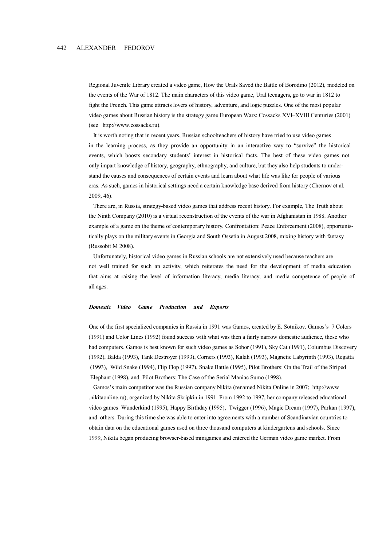Regional Juvenile Library created a video game, How the Urals Saved the Battle of Borodino (2012), modeled on the events of the War of 1812. The main characters of this video game, Ural teenagers, go to war in 1812 to fight the French. This game attracts lovers of history, adventure, and logic puzzles. One of the most popular video games about Russian history is the strategy game European Wars: Cossacks XVI–XVIII Centuries (2001) (see http://www.cossacks.ru).

 It is worth noting that in recent years, Russian schoolteachers of history have tried to use video games in the learning process, as they provide an opportunity in an interactive way to "survive" the historical events, which boosts secondary students' interest in historical facts. The best of these video games not only impart knowledge of history, geography, ethnography, and culture, but they also help students to under stand the causes and consequences of certain events and learn about what life was like for people of various eras. As such, games in historical settings need a certain knowledge base derived from history (Chernov et al. 2009, 46).

 There are, in Russia, strategy-based video games that address recent history. For example, The Truth about the Ninth Company (2010) is a virtual reconstruction of the events of the war in Afghanistan in 1988. Another example of a game on the theme of contemporary history, Confrontation: Peace Enforcement (2008), opportunis tically plays on the military events in Georgia and South Ossetia in August 2008, mixing history with fantasy (Russobit M 2008).

 Unfortunately, historical video games in Russian schools are not extensively used because teachers are not well trained for such an activity, which reiterates the need for the development of media education that aims at raising the level of information literacy, media literacy, and media competence of people of all ages.

#### *Domestic Video Game Production and Exports*

 One of the first specialized companies in Russia in 1991 was Gamos, created by E. Sotnikov. Gamos's 7 Colors (1991) and Color Lines (1992) found success with what was then a fairly narrow domestic audience, those who had computers. Gamos is best known for such video games as Sobor (1991), Sky Cat (1991), Columbus Discovery (1992), Balda (1993), Tank Destroyer (1993), Corners (1993), Kalah (1993), Magnetic Labyrinth (1993), Regatta (1993), Wild Snake (1994), Flip Flop (1997), Snake Battle (1995), Pilot Brothers: On the Trail of the Striped Elephant (1998), and Pilot Brothers: The Case of the Serial Maniac Sumo (1998).

 Gamos's main competitor was the Russian company Nikita (renamed Nikita Online in 2007; http://www .nikitaonline.ru), organized by Nikita Skripkin in 1991. From 1992 to 1997, her company released educational video games Wunderkind (1995), Happy Birthday (1995), Twigger (1996), Magic Dream (1997), Parkan (1997), and others. During this time she was able to enter into agreements with a number of Scandinavian countries to obtain data on the educational games used on three thousand computers at kindergartens and schools. Since 1999, Nikita began producing browser-based minigames and entered the German video game market. From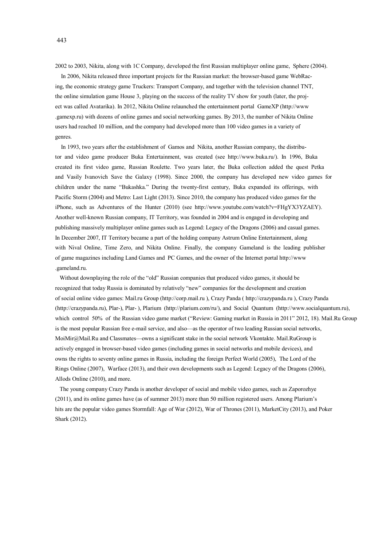2002 to 2003, Nikita, along with 1C Company, developed the first Russian multiplayer online game, Sphere (2004).

 In 2006, Nikita released three important projects for the Russian market: the browser-based game WebRacing, the economic strategy game Truckers: Transport Company, and together with the television channel TNT, the online simulation game House 3, playing on the success of the reality TV show for youth (later, the project was called Avatarika). In 2012, Nikita Online relaunched the entertainment portal GameXP (http://www .gamexp.ru) with dozens of online games and social networking games. By 2013, the number of Nikita Online users had reached 10 million, and the company had developed more than 100 video games in a variety of genres.

 In 1993, two years after the establishment of Gamos and Nikita, another Russian company, the distributor and video game producer Buka Entertainment, was created (see http://www.buka.ru/). In 1996, Buka created its first video game, Russian Roulette. Two years later, the Buka collection added the quest Petka and Vasily Ivanovich Save the Galaxy (1998). Since 2000, the company has developed new video games for children under the name "Bukashka." During the twenty-first century, Buka expanded its offerings, with Pacific Storm (2004) and Metro: Last Light (2013). Since 2010, the company has produced video games for the iPhone, such as Adventures of the Hunter (2010) (see http://www.youtube.com/watch?v=FHgYX3YZAEY). Another well-known Russian company, IT Territory, was founded in 2004 and is engaged in developing and publishing massively multiplayer online games such as Legend: Legacy of the Dragons (2006) and casual games. In December 2007, IT Territory became a part of the holding company Astrum Online Entertainment, along with Nival Online, Time Zero, and Nikita Online. Finally, the company Gameland is the leading publisher of game magazines including Land Games and PC Games, and the owner of the Internet portal http://www .gameland.ru.

 Without downplaying the role of the "old" Russian companies that produced video games, it should be recognized that today Russia is dominated by relatively "new" companies for the development and creation of social online video games: Mail.ru Group (http://corp.mail.ru ), Crazy Panda ( http://crazypanda.ru ), Crazy Panda (http://crazypanda.ru), Plar-), Plar- ), Plarium (http://plarium.com/ru/), and Social Quantum (http://www.socialquantum.ru), which control 50% of the Russian video game market ("Review: Gaming market in Russia in 2011" 2012, 18). Mail.Ru Group is the most popular Russian free e-mail service, and also—as the operator of two leading Russian social networks, MoiMir@Mail.Ru and Classmates—owns a significant stake in the social network Vkontakte. Mail.RuGroup is actively engaged in browser-based video games (including games in social networks and mobile devices), and owns the rights to seventy online games in Russia, including the foreign Perfect World (2005), The Lord of the Rings Online (2007), Warface (2013), and their own developments such as Legend: Legacy of the Dragons (2006), Allods Online (2010), and more.

 The young company Crazy Panda is another developer of social and mobile video games, such as Zaporozhye (2011), and its online games have (as of summer 2013) more than 50 million registered users. Among Plarium's hits are the popular video games Stormfall: Age of War (2012), War of Thrones (2011), MarketCity (2013), and Poker Shark (2012).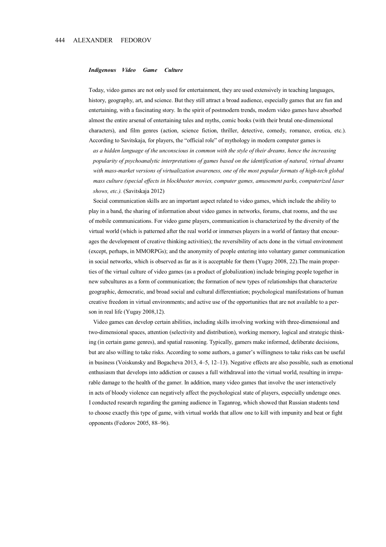#### *Indigenous Video Game Culture*

 Today, video games are not only used for entertainment, they are used extensively in teaching languages, history, geography, art, and science. But they still attract a broad audience, especially games that are fun and entertaining, with a fascinating story. In the spirit of postmodern trends, modern video games have absorbed almost the entire arsenal of entertaining tales and myths, comic books (with their brutal one-dimensional characters), and film genres (action, science fiction, thriller, detective, comedy, romance, erotica, etc.). According to Savitskaja, for players, the "official role" of mythology in modern computer games is

 *as a hidden language of the unconscious in common with the style of their dreams, hence the increasing popularity of psychoanalytic interpretations of games based on the identification of natural, virtual dreams with mass-market versions of virtualization awareness, one of the most popular formats of high-tech global mass culture (special effects in blockbuster movies, computer games, amusement parks, computerized laser shows, etc.).* (Savitskaja 2012)

 Social communication skills are an important aspect related to video games, which include the ability to play in a band, the sharing of information about video games in networks, forums, chat rooms, and the use of mobile communications. For video game players, communication is characterized by the diversity of the virtual world (which is patterned after the real world or immerses players in a world of fantasy that encour ages the development of creative thinking activities); the reversibility of acts done in the virtual environment (except, perhaps, in MMORPGs); and the anonymity of people entering into voluntary gamer communication in social networks, which is observed as far as it is acceptable for them (Yugay 2008, 22).The main proper ties of the virtual culture of video games (as a product of globalization) include bringing people together in new subcultures as a form of communication; the formation of new types of relationships that characterize geographic, democratic, and broad social and cultural differentiation; psychological manifestations of human creative freedom in virtual environments; and active use of the opportunities that are not available to a per son in real life (Yugay 2008,12).

 Video games can develop certain abilities, including skills involving working with three-dimensional and two-dimensional spaces, attention (selectivity and distribution), working memory, logical and strategic think ing (in certain game genres), and spatial reasoning. Typically, gamers make informed, deliberate decisions, but are also willing to take risks. According to some authors, a gamer's willingness to take risks can be useful in business (Voiskunsky and Bogacheva 2013, 4–5, 12–13). Negative effects are also possible, such as emotional enthusiasm that develops into addiction or causes a full withdrawal into the virtual world, resulting in irrepa rable damage to the health of the gamer. In addition, many video games that involve the user interactively in acts of bloody violence can negatively affect the psychological state of players, especially underage ones. I conducted research regarding the gaming audience in Taganrog, which showed that Russian students tend to choose exactly this type of game, with virtual worlds that allow one to kill with impunity and beat or fight opponents (Fedorov 2005, 88–96).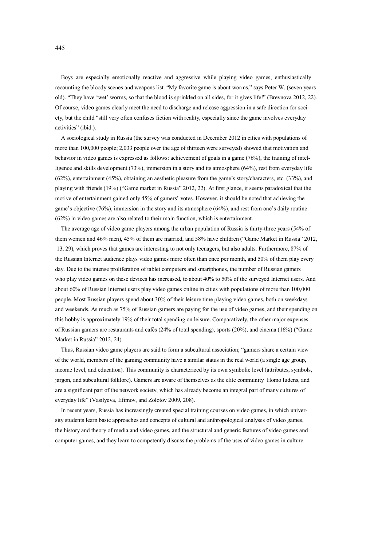Boys are especially emotionally reactive and aggressive while playing video games, enthusiastically recounting the bloody scenes and weapons list. "My favorite game is about worms," says Peter W. (seven years old). "They have 'wet' worms, so that the blood is sprinkled on all sides, for it gives life!" (Brevnova 2012, 22). Of course, video games clearly meet the need to discharge and release aggression in a safe direction for society, but the child "still very often confuses fiction with reality, especially since the game involves everyday activities" (ibid.).

 A sociological study in Russia (the survey was conducted in December 2012 in cities with populations of more than 100,000 people; 2,033 people over the age of thirteen were surveyed) showed that motivation and behavior in video games is expressed as follows: achievement of goals in a game (76%), the training of intelligence and skills development (73%), immersion in a story and its atmosphere (64%), rest from everyday life (62%), entertainment (45%), obtaining an aesthetic pleasure from the game's story/characters, etc. (33%), and playing with friends (19%) ("Game market in Russia" 2012, 22). At first glance, it seems paradoxical that the motive of entertainment gained only 45% of gamers' votes. However, it should be noted that achieving the game's objective (76%), immersion in the story and its atmosphere (64%), and rest from one's daily routine (62%) in video games are also related to their main function, which is entertainment.

 The average age of video game players among the urban population of Russia is thirty-three years (54% of them women and 46% men), 45% of them are married, and 58% have children ("Game Market in Russia" 2012, 13, 29), which proves that games are interesting to not only teenagers, but also adults. Furthermore, 87% of the Russian Internet audience plays video games more often than once per month, and 50% of them play every day. Due to the intense proliferation of tablet computers and smartphones, the number of Russian gamers who play video games on these devices has increased, to about 40% to 50% of the surveyed Internet users. And about 60% of Russian Internet users play video games online in cities with populations of more than 100,000 people. Most Russian players spend about 30% of their leisure time playing video games, both on weekdays and weekends. As much as 75% of Russian gamers are paying for the use of video games, and their spending on this hobby is approximately 19% of their total spending on leisure. Comparatively, the other major expenses of Russian gamers are restaurants and cafés (24% of total spending), sports (20%), and cinema (16%) ("Game Market in Russia" 2012, 24).

 Thus, Russian video game players are said to form a subcultural association; "gamers share a certain view of the world, members of the gaming community have a similar status in the real world (a single age group, income level, and education). This community is characterized by its own symbolic level (attributes, symbols, jargon, and subcultural folklore). Gamers are aware of themselves as the elite community Homo ludens, and are a significant part of the network society, which has already become an integral part of many cultures of everyday life" (Vasilyeva, Efimov, and Zolotov 2009, 208).

 In recent years, Russia has increasingly created special training courses on video games, in which university students learn basic approaches and concepts of cultural and anthropological analyses of video games, the history and theory of media and video games, and the structural and generic features of video games and computer games, and they learn to competently discuss the problems of the uses of video games in culture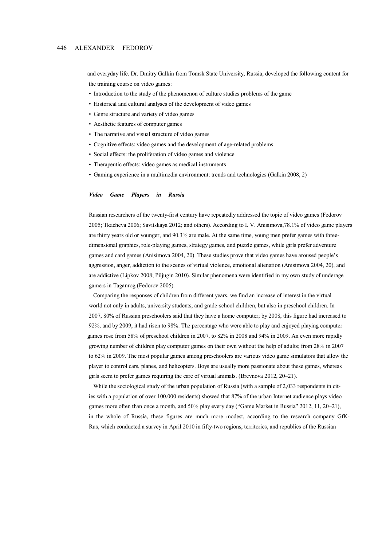and everyday life. Dr. Dmitry Galkin from Tomsk State University, Russia, developed the following content for the training course on video games:

- Introduction to the study of the phenomenon of culture studies problems of the game
- Historical and cultural analyses of the development of video games
- Genre structure and variety of video games
- Aesthetic features of computer games
- The narrative and visual structure of video games
- Cognitive effects: video games and the development of age-related problems
- Social effects: the proliferation of video games and violence
- Therapeutic effects: video games as medical instruments
- Gaming experience in a multimedia environment: trends and technologies (Galkin 2008, 2)

### *Video Game Players in Russia*

 Russian researchers of the twenty-first century have repeatedly addressed the topic of video games (Fedorov 2005; Tkacheva 2006; Savitskaya 2012; and others). According to I. V. Anisimova,78.1% of video game players are thirty years old or younger, and 90.3% are male. At the same time, young men prefer games with three dimensional graphics, role-playing games, strategy games, and puzzle games, while girls prefer adventure games and card games (Anisimova 2004, 20). These studies prove that video games have aroused people's aggression, anger, addiction to the scenes of virtual violence, emotional alienation (Anisimova 2004, 20), and are addictive (Lipkov 2008; Piljugin 2010). Similar phenomena were identified in my own study of underage gamers in Taganrog (Fedorov 2005).

 Comparing the responses of children from different years, we find an increase of interest in the virtual world not only in adults, university students, and grade-school children, but also in preschool children. In 2007, 80% of Russian preschoolers said that they have a home computer; by 2008, this figure had increased to 92%, and by 2009, it had risen to 98%. The percentage who were able to play and enjoyed playing computer games rose from 58% of preschool children in 2007, to 82% in 2008 and 94% in 2009. An even more rapidly growing number of children play computer games on their own without the help of adults; from 28% in 2007 to 62% in 2009. The most popular games among preschoolers are various video game simulators that allow the player to control cars, planes, and helicopters. Boys are usually more passionate about these games, whereas girls seem to prefer games requiring the care of virtual animals. (Brevnova 2012, 20–21).

While the sociological study of the urban population of Russia (with a sample of 2,033 respondents in cit ies with a population of over 100,000 residents) showed that 87% of the urban Internet audience plays video games more often than once a month, and 50% play every day ("Game Market in Russia" 2012, 11, 20–21), in the whole of Russia, these figures are much more modest, according to the research company GfK- Rus, which conducted a survey in April 2010 in fifty-two regions, territories, and republics of the Russian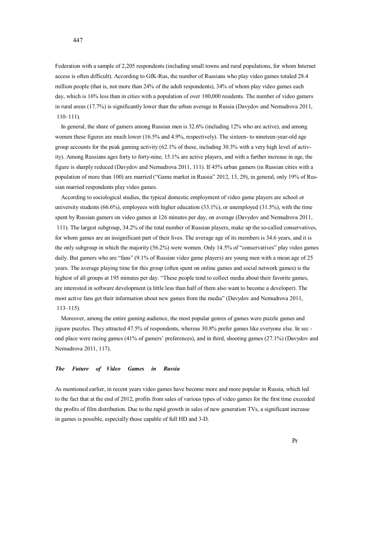Federation with a sample of 2,205 respondents (including small towns and rural populations, for whom Internet access is often difficult). According to GfK-Rus, the number of Russians who play video games totaled 28.4 million people (that is, not more than 24% of the adult respondents), 34% of whom play video games each day, which is 16% less than in cities with a population of over 100,000 residents. The number of video gamers in rural areas (17.7%) is significantly lower than the urban average in Russia (Davydov and Nemudrova 2011, 110–111).

 In general, the share of gamers among Russian men is 32.6% (including 12% who are active), and among women these figures are much lower (16.5% and 4.9%, respectively). The sixteen- to nineteen-year-old age group accounts for the peak gaming activity (62.1% of these, including 30.3% with a very high level of activity). Among Russians ages forty to forty-nine, 15.1% are active players, and with a further increase in age, the figure is sharply reduced (Davydov and Nemudrova 2011, 111). If 45% urban gamers (in Russian cities with a population of more than 100) are married ("Game market in Russia" 2012, 13, 29), in general, only 19% of Russian married respondents play video games.

 According to sociological studies, the typical domestic employment of video game players are school or university students (66.6%), employees with higher education (33.1%), or unemployed (31.5%), with the time spent by Russian gamers on video games at 126 minutes per day, on average (Davydov and Nemudrova 2011, 111). The largest subgroup, 34.2% of the total number of Russian players, make up the so-called conservatives, for whom games are an insignificant part of their lives. The average age of its members is 34.6 years, and it is the only subgroup in which the majority (56.2%) were women. Only 14.5% of "conservatives" play video games daily. But gamers who are "fans" (9.1% of Russian video game players) are young men with a mean age of 25 years. The average playing time for this group (often spent on online games and social network games) is the highest of all groups at 195 minutes per day. "These people tend to collect media about their favorite games, are interested in software development (a little less than half of them also want to become a developer). The most active fans get their information about new games from the media" (Davydov and Nemudrova 2011, 113–115).

 Moreover, among the entire gaming audience, the most popular genres of games were puzzle games and jigsaw puzzles. They attracted 47.5% of respondents, whereas 30.8% prefer games like everyone else. In sec ond place were racing games (41% of gamers' preferences), and in third, shooting games (27.1%) (Davydov and Nemudrova 2011, 117).

## *The Future of Video Games in Russia*

As mentioned earlier, in recent years video games have become more and more popular in Russia, which led to the fact that at the end of 2012, profits from sales of various types of video games for the first time exceeded the profits of film distribution. Due to the rapid growth in sales of new generation TVs, a significant increase in games is possible, especially those capable of full HD and 3-D.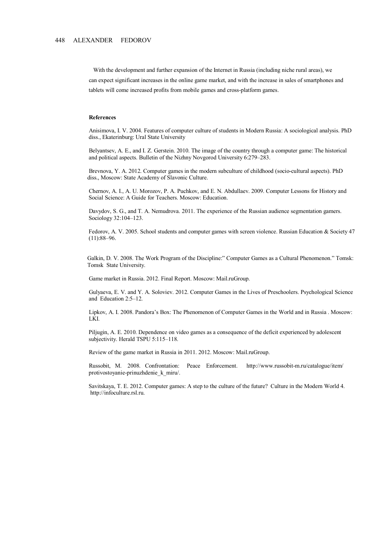With the development and further expansion of the Internet in Russia (including niche rural areas), we can expect significant increases in the online game market, and with the increase in sales of smartphones and tablets will come increased profits from mobile games and cross-platform games.

#### **References**

 Anisimova, I. V. 2004. Features of computer culture of students in Modern Russia: A sociological analysis. PhD diss., Ekaterinburg: Ural State University

 Belyantsev, A. E., and I. Z. Gerstein. 2010. The image of the country through a computer game: The historical and political aspects. Bulletin of the Nizhny Novgorod University 6:279–283.

 Brevnova, Y. A. 2012. Computer games in the modern subculture of childhood (socio-cultural aspects). PhD diss., Moscow: State Academy of Slavonic Culture.

 Chernov, A. I., A. U. Morozov, P. A. Puchkov, and E. N. Abdullaev. 2009. Computer Lessons for History and Social Science: A Guide for Teachers. Moscow: Education.

 Davydov, S. G., and T. A. Nemudrova. 2011. The experience of the Russian audience segmentation gamers. Sociology 32:104–123.

Fedorov, A. V. 2005. School students and computer games with screen violence. Russian Education & Society 47 (11):88–96.

 Galkin, D. V. 2008. The Work Program of the Discipline:" Computer Games as a Cultural Phenomenon." Tomsk: Tomsk State University.

Game market in Russia. 2012. Final Report. Moscow: Mail.ruGroup.

 Gulyaeva, E. V. and Y. A. Soloviev. 2012. Computer Games in the Lives of Preschoolers. Psychological Science and Education 2:5–12.

 Lipkov, A. I. 2008. Pandora's Box: The Phenomenon of Computer Games in the World and in Russia . Moscow: LKI.

 Piljugin, A. E. 2010. Dependence on video games as a consequence of the deficit experienced by adolescent subjectivity. Herald TSPU 5:115-118.

Review of the game market in Russia in 2011. 2012. Moscow: Mail.ruGroup.

 Russobit, M. 2008. Confrontation: Peace Enforcement. http://www.russobit-m.ru/catalogue/item/ protivostoyanie-prinuzhdenie\_k\_miru/.

 Savitskaya, T. E. 2012. Computer games: A step to the culture of the future? Culture in the Modern World 4. http://infoculture.rsl.ru.